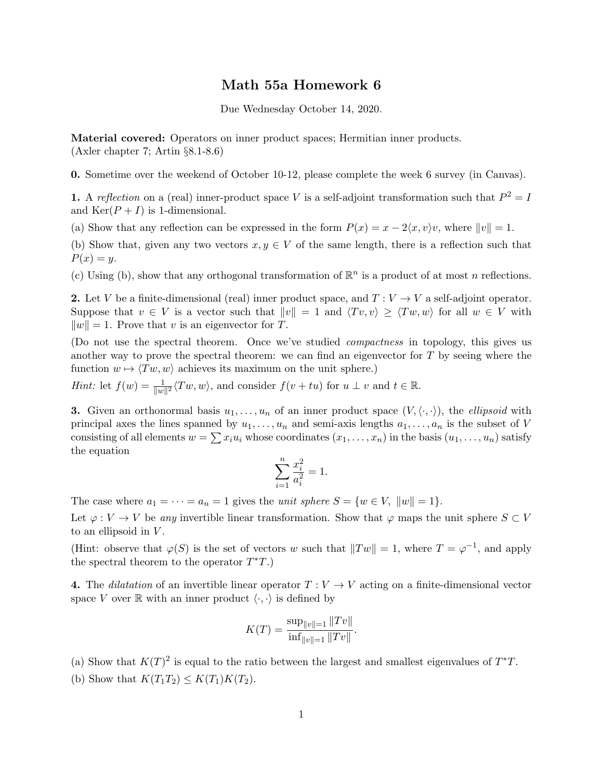## Math 55a Homework 6

Due Wednesday October 14, 2020.

Material covered: Operators on inner product spaces; Hermitian inner products. (Axler chapter 7; Artin §8.1-8.6)

0. Sometime over the weekend of October 10-12, please complete the week 6 survey (in Canvas).

**1.** A reflection on a (real) inner-product space V is a self-adjoint transformation such that  $P^2 = I$ and  $\text{Ker}(P+I)$  is 1-dimensional.

(a) Show that any reflection can be expressed in the form  $P(x) = x - 2\langle x, v \rangle v$ , where  $||v|| = 1$ .

(b) Show that, given any two vectors  $x, y \in V$  of the same length, there is a reflection such that  $P(x) = y$ .

(c) Using (b), show that any orthogonal transformation of  $\mathbb{R}^n$  is a product of at most n reflections.

2. Let V be a finite-dimensional (real) inner product space, and  $T: V \to V$  a self-adjoint operator. Suppose that  $v \in V$  is a vector such that  $||v|| = 1$  and  $\langle Tv, v \rangle \ge \langle Tw, w \rangle$  for all  $w \in V$  with  $||w|| = 1$ . Prove that v is an eigenvector for T.

(Do not use the spectral theorem. Once we've studied compactness in topology, this gives us another way to prove the spectral theorem: we can find an eigenvector for  $T$  by seeing where the function  $w \mapsto \langle Tw, w \rangle$  achieves its maximum on the unit sphere.)

*Hint*: let  $f(w) = \frac{1}{\|w\|^2} \langle Tw, w \rangle$ , and consider  $f(v + tu)$  for  $u \perp v$  and  $t \in \mathbb{R}$ .

**3.** Given an orthonormal basis  $u_1, \ldots, u_n$  of an inner product space  $(V, \langle \cdot, \cdot \rangle)$ , the *ellipsoid* with principal axes the lines spanned by  $u_1, \ldots, u_n$  and semi-axis lengths  $a_1, \ldots, a_n$  is the subset of V consisting of all elements  $w = \sum x_i u_i$  whose coordinates  $(x_1, \ldots, x_n)$  in the basis  $(u_1, \ldots, u_n)$  satisfy the equation

$$
\sum_{i=1}^{n} \frac{x_i^2}{a_i^2} = 1.
$$

The case where  $a_1 = \cdots = a_n = 1$  gives the *unit sphere*  $S = \{w \in V, ||w|| = 1\}.$ 

Let  $\varphi: V \to V$  be any invertible linear transformation. Show that  $\varphi$  maps the unit sphere  $S \subset V$ to an ellipsoid in  $V$ .

(Hint: observe that  $\varphi(S)$  is the set of vectors w such that  $||Tw|| = 1$ , where  $T = \varphi^{-1}$ , and apply the spectral theorem to the operator  $T^*T$ .)

4. The dilatation of an invertible linear operator  $T: V \to V$  acting on a finite-dimensional vector space V over  $\mathbb R$  with an inner product  $\langle \cdot, \cdot \rangle$  is defined by

$$
K(T) = \frac{\sup_{\|v\|=1} \|Tv\|}{\inf_{\|v\|=1} \|Tv\|}.
$$

(a) Show that  $K(T)^2$  is equal to the ratio between the largest and smallest eigenvalues of  $T^*T$ . (b) Show that  $K(T_1T_2) \leq K(T_1)K(T_2)$ .